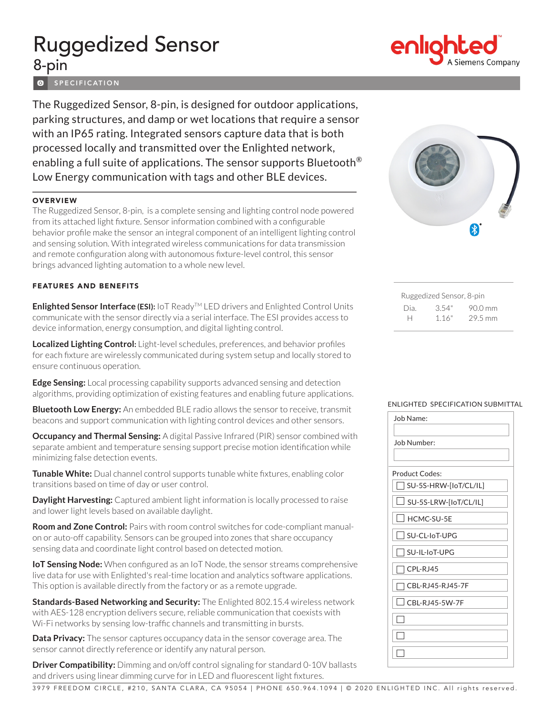# Ruggedized Sensor 8-pin

**O** SPECIFICATION

The Ruggedized Sensor, 8-pin, is designed for outdoor applications, parking structures, and damp or wet locations that require a sensor with an IP65 rating. Integrated sensors capture data that is both processed locally and transmitted over the Enlighted network, enabling a full suite of applications. The sensor supports Bluetooth<sup>®</sup> Low Energy communication with tags and other BLE devices.

#### **OVERVIEW**

The Ruggedized Sensor, 8-pin, is a complete sensing and lighting control node powered from its attached light fixture. Sensor information combined with a configurable behavior profile make the sensor an integral component of an intelligent lighting control and sensing solution. With integrated wireless communications for data transmission and remote configuration along with autonomous fixture-level control, this sensor brings advanced lighting automation to a whole new level.

#### FEATURES AND BENEFITS

**Enlighted Sensor Interface (ESI):** IoT Ready™ LED drivers and Enlighted Control Units communicate with the sensor directly via a serial interface. The ESI provides access to device information, energy consumption, and digital lighting control.

**Localized Lighting Control:** Light-level schedules, preferences, and behavior profiles for each fixture are wirelessly communicated during system setup and locally stored to ensure continuous operation.

**Edge Sensing:** Local processing capability supports advanced sensing and detection algorithms, providing optimization of existing features and enabling future applications.

**Bluetooth Low Energy:** An embedded BLE radio allows the sensor to receive, transmit beacons and support communication with lighting control devices and other sensors.

**Occupancy and Thermal Sensing:** A digital Passive Infrared (PIR) sensor combined with separate ambient and temperature sensing support precise motion identification while minimizing false detection events.

**Tunable White:** Dual channel control supports tunable white fixtures, enabling color transitions based on time of day or user control.

**Daylight Harvesting:** Captured ambient light information is locally processed to raise and lower light levels based on available daylight.

**Room and Zone Control:** Pairs with room control switches for code-compliant manualon or auto-off capability. Sensors can be grouped into zones that share occupancy sensing data and coordinate light control based on detected motion.

**IoT Sensing Node:** When configured as an IoT Node, the sensor streams comprehensive live data for use with Enlighted's real-time location and analytics software applications. This option is available directly from the factory or as a remote upgrade.

**Standards-Based Networking and Security:** The Enlighted 802.15.4 wireless network with AES-128 encryption delivers secure, reliable communication that coexists with Wi-Fi networks by sensing low-traffic channels and transmitting in bursts.

**Data Privacy:** The sensor captures occupancy data in the sensor coverage area. The sensor cannot directly reference or identify any natural person.

**Driver Compatibility:** Dimming and on/off control signaling for standard 0-10V ballasts and drivers using linear dimming curve for in LED and fluorescent light fixtures.



| Ruggedized Sensor, 8-pin |       |         |  |
|--------------------------|-------|---------|--|
| Dia.                     | 3.54" | 90.0 mm |  |
| н                        | 1.16" | 29.5 mm |  |

#### ENLIGHTED SPECIFICATION SUBMITTAL

| Job Name:                                         |  |  |
|---------------------------------------------------|--|--|
| Job Number:                                       |  |  |
|                                                   |  |  |
| <b>Product Codes:</b>                             |  |  |
| SU-5S-HRW-[loT/CL/IL]<br>$\overline{\phantom{a}}$ |  |  |
| $\mathbf{I}$<br>SU-5S-LRW-[IoT/CL/IL]             |  |  |
| $\mathbf{I}$<br>HCMC-SU-5E                        |  |  |
| $\Box$ SU-CL-IoT-UPG                              |  |  |
| SU-IL-IoT-UPG                                     |  |  |
| $\Box$ CPL-RJ45                                   |  |  |
| CBI-RJ45-RJ45-7F<br>$\overline{\phantom{a}}$      |  |  |
| CBL-RJ45-5W-7F                                    |  |  |
|                                                   |  |  |
|                                                   |  |  |
|                                                   |  |  |
|                                                   |  |  |



3979 FREEDOM CIRCLE, #210, SANTA CLARA, CA 95054 | PHONE 650.964.1094 | © 2020 ENLIGHTED INC. All rights reserved .